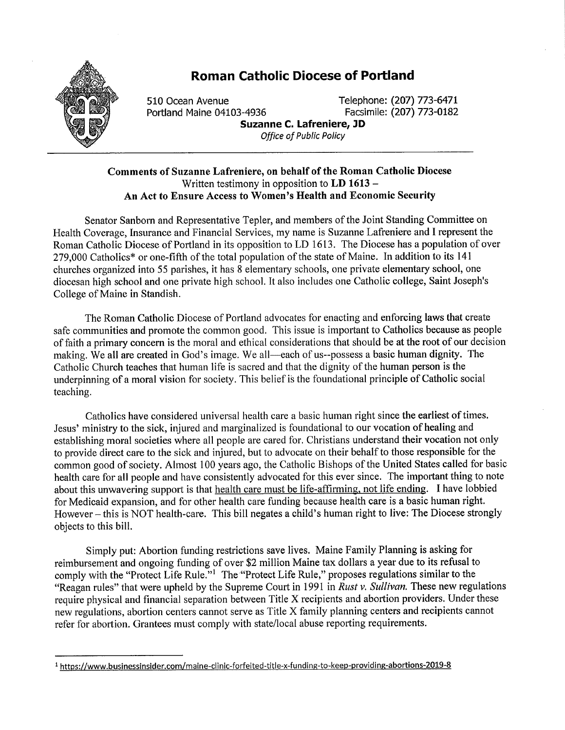

## Roman Catholic Diocese of Portland

Example 510 Ocean Avenue<br>Portland Maine 04103-4936 Telephone: (207) 773-0182 Portland Maine 04103-4936 Suzanne C. Lafreniere, JD

Office of Public Policy

## Comments of Suzanne Lafreniere, on behalf of the Roman Catholic Diocese Written testimony in opposition to  $LD$  1613 – An Act to Ensure Access to Women's Health and Economic Security

Senator Sanborn and Representative Tepler, and members of the Joint Standing Committee on Health Coverage, Insurance and Financial Services, my name is Suzanne Lafreniere and I represent the Roman Catholic Diocese of Portland in its opposition to LD 1613. The Diocese has a population of over 279,000 Catholics\* or one-fifth of the total population of the state of Maine. In addition to its 141 churches organized into 55 parishes, it has 8 elementary schools, one private elementary school, one diocesan high school and one private high school. It also includes one Catholic college, Saint Joseph's College of Maine in Standish.

The Roman Catholic Diocese of Portland advocates for enacting and enforcing laws that create safe communities and promote the common good. This issue is important to Catholics because as people of faith a primary concern is the moral and ethical considerations that should be at the root of our decision making. We all are created in God's image. We all—each of us--possess a basic human dignity. The Catholic Church teaches that human life is sacred and that the dignity of the human person is the underpinning of a moral vision for society. This belief is the foundational principle of Catholic social teaching.

Catholics have considered universal health care a basic human right since the earliest of times. Jesus' ministry to the sick, injured and marginalized is foundational to our vocation of healing and establishing moral societies where all people are cared for. Christians understand their vocation not only to provide direct care to the sick and injured, but to advocate on their behalf to those responsible for the common good of society. Almost 100 years ago, the Catholic Bishops of the United States called for basic health care for all people and have consistently advocated for this ever since. The important thing to note about this unwavering support is that health care must be life-affirming, not life ending. I have lobbied for Medicaid expansion, and for other health care funding because health care is a basic human right. However – this is NOT health-care. This bill negates a child's human right to live: The Diocese strongly objects to this bill.

Simply put: Abortion funding restrictions save lives. Maine Family Planning is asking for reimbursement and ongoing funding of over \$2 million Maine tax dollars a year due to its refusal to comply with the "Protect Life Rule."<sup>1</sup> The "Protect Life Rule," proposes regulations similar to the "Reagan rules" that were upheld by the Supreme Court in 1991 in Rust v. Sullivan. These new regulations require physical and financial separation between Title X recipients and abortion providers. Under these new regulations, abortion centers cannot serve as Title X family planning centers and recipients cannot refer for abortion. Grantees must comply with state/local abuse reporting requirements.

<sup>&</sup>lt;sup>1</sup> https://www.businessinsider.com/maine-clinic-forfeited-title-x-funding-to-keep-providing-abortions-2019-8